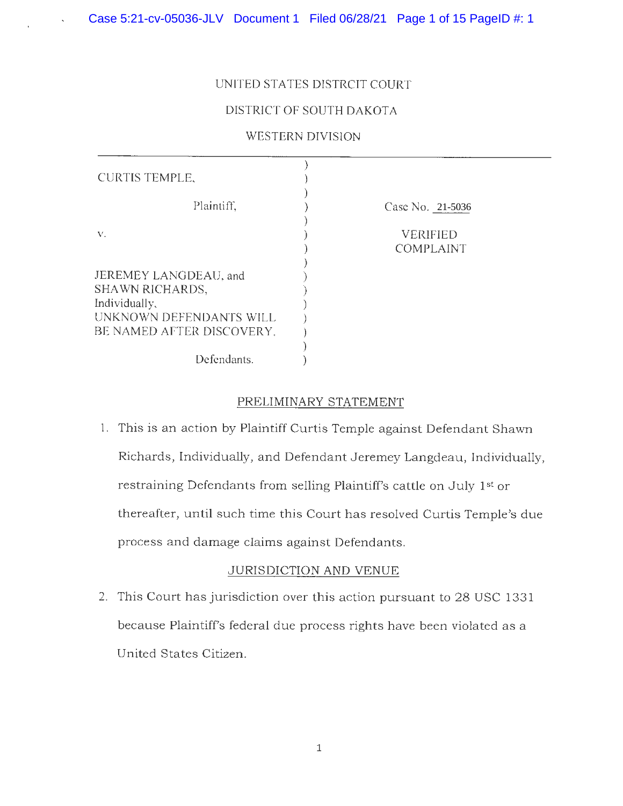## UNITED STATES DISTRCIT COURT

## DISTRICT OF SOUTH DAKOTA

## WESTERN DIVISION

| <b>CURTIS TEMPLE,</b>                                                                                                    |                                     |
|--------------------------------------------------------------------------------------------------------------------------|-------------------------------------|
| Plaintiff,                                                                                                               | Case No. 21-5036                    |
| V.                                                                                                                       | <b>VERIFIED</b><br><b>COMPLAINT</b> |
| JEREMEY LANGDEAU, and<br><b>SHAWN RICHARDS,</b><br>Individually,<br>UNKNOWN DEFENDANTS WILL<br>BE NAMED AFTER DISCOVERY. |                                     |
| Defendants.                                                                                                              |                                     |

## PRELIMINARY STATEMENT

1. This is an action by Plaintiff Curtis Temple against Defendant Shawn Richards, Individually, and Defendant Jeremey Langdeau, Individually, restraining Defendants from selling Plaintiff's cattle on July 1st or thereafter, until such time this Court has resolved Curtis Temple's due process and damage claims against Defendants.

## JURISDICTION AND VENUE

2. This Court has jurisdiction over this action pursuant to 28 USC 1331 because Plaintiff's federal due process rights have been violated as a United States Citizen.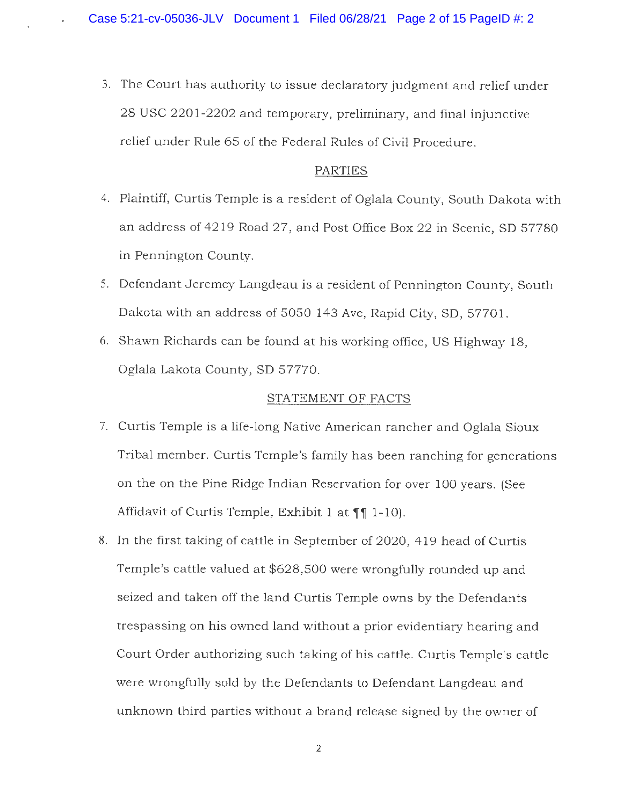3. The Court has authority to issue declaratory judgment and relief under 28 USC 2201-2202 and temporary, preliminary, and final injunctive relief under Rule 65 of the Federal Rules of Civil Procedure.

## PARTIES

- 4. Plaintiff, Curtis Temple is a resident of Oglala County, South Dakota with an address of 4219 Road 27, and Post Office Box 22 in Scenic, SD 57780 in Pennington County.
- 5. Defendant Jeremey Langdeau is a resident of Pennington County, South Dakota with an address of 5050 143 Ave, Rapid City, SD, 57701.
- 6. Shawn Richards can be found at his working office, US Highway 18, Oglala Lakota County, SD 57770.

## STATEMENT OF FACTS

- 7. Curtis Temple is a life-long Native American rancher and Oglala Sioux Tribal member. Curtis Temple's family has been ranching for generations on the on the Pine Ridge Indian Reservation for over 100 years. (See Affidavit of Curtis Temple, Exhibit 1 at **11** 1-10).
- 8. In the first taking of cattle in September of 2020, 419 head of Curtis Temple's cattle valued at \$628,500 were wrongfully rounded up and seized and taken off the land Curtis Temple owns by the Defendants trespassing on his owned land without a prior evidentiary hearing and Court Order authorizing such taking of his cattle. Curtis Temple's cattle were wrongfully sold by the Defendants to Defendant Langdeau and unknown third parties without a brand release signed by the owner of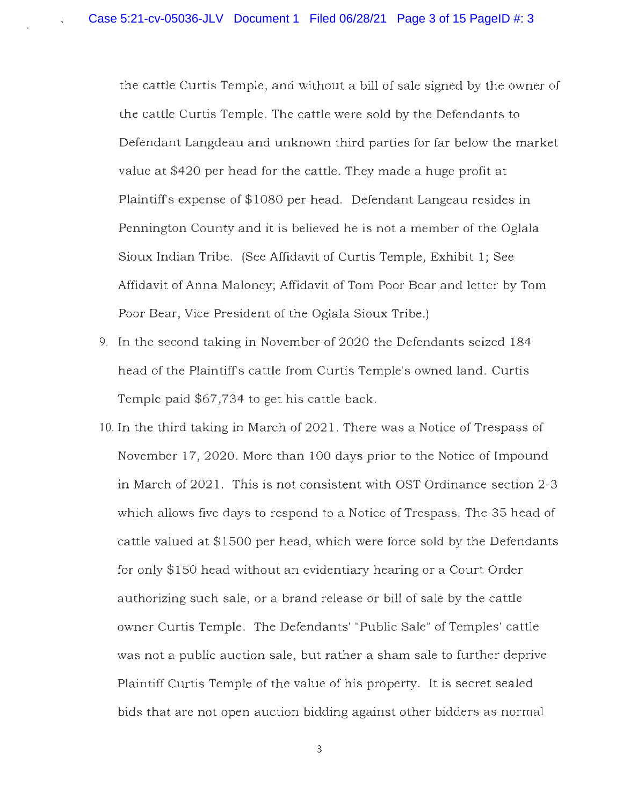the cattle Curtis Temple, and without a bill of sale signed by the owner of the cattle Curtis Temple. The cattle were sold by the Defendants to Defendant Langdeau and unknown third parties for far below the market value at \$420 per head for the cattle. They made a huge profit at Plaintiffs expense of \$1080 per head. Defendant Langeau resides in Pennington County and it is believed he is not a member of the Oglala Sioux Indian Tribe. (See Affidavit of Curtis Temple, Exhibit 1; See Affidavit of Anna Maloney; Affidavit of Tom Poor Bear and letter by Tom Poor Bear, Vice President of the Oglala Sioux Tribe.)

- 9. In the second taking in November of 2020 the Defendants seized 184 head of the Plaintiffs cattle from Curtis Temple's owned land. Curtis Temple paid \$67,734 to get his cattle back.
- l 0. In the third taking in March of 2021. There was a Notice of Trespass of November 17, 2020. More than 100 days prior to the Notice of Impound in March of 2021. This is not consistent with OST Ordinance section 2-3 which allows five days to respond to a Notice of Trespass. The 35 head of cattle valued at \$1500 per head, which were force sold by the Defendants for only \$150 head without an evidentiary hearing or a Court Order authorizing such sale, or a brand release or bill of sale by the cattle owner Curtis Temple. The Defendants' "Public Sale" of Temples' cattle was not a public auction sale, but rather a sham sale to further deprive Plaintiff Curtis Temple of the value of his property. It is secret sealed bids that are not open auction bidding against other bidders as normal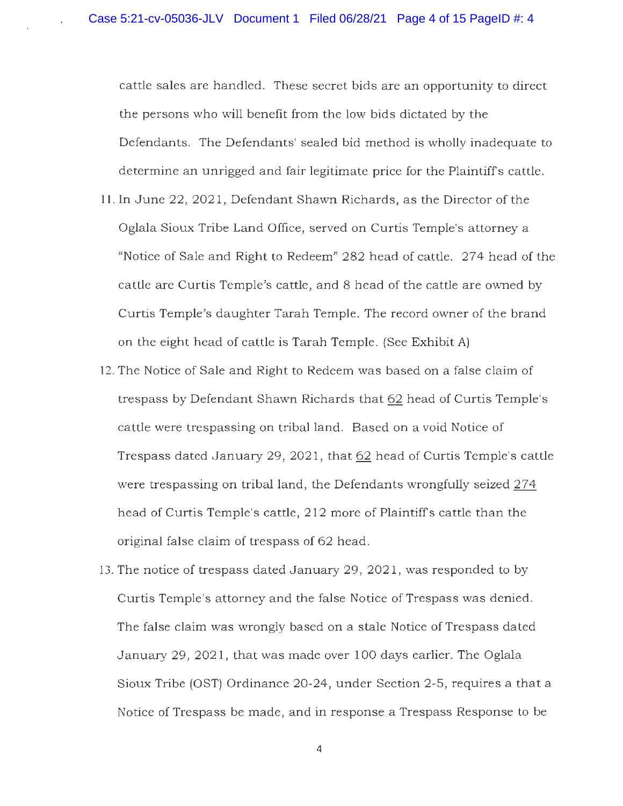cattle sales are handled. These secret bids are an opportunity to direct the persons who will benefit from the low bids dictated by the Defendants. The Defendants' sealed bid method is wholly inadequate to determine an unrigged and fair legitimate price for the Plaintiffs cattle.

- 1 I. In June 22, 2021, Defendant Shawn Richards, as the Director of the Oglala Sioux Tribe Land Office, served on Curtis Temple's attorney a "Notice of Sale and Right to Redeem" 282 head of cattle. 274 head of the cattle are Curtis Temple's cattle, and 8 head of the cattle are owned by Curtis Temple's daughter Tarah Temple. The record owner of the brand on the eight head of cattle is Tarah Temple. (See Exhibit A)
- 12. The Notice of Sale and Right to Redeem was based on a false claim of trespass by Defendant Shawn Richards that 62 head of Curtis Temple's cattle were trespassing on tribal land. Based on a void Notice of Trespass dated January 29, 2021, that 62 head of Curtis Temple's cattle were trespassing on tribal land, the Defendants wrongfully seized 274 head of Curtis Temple's cattle, 212 more of Plaintiffs cattle than the original false claim of trespass of 62 head.
- 13. The notice of trespass dated January 29, 2021, was responded to by Curtis Temple's attorney and the false Notice of Trespass was denied. The false claim was wrongly based on a stale Notice of Trespass dated January 29, 2021, that was made over 100 days earlier. The Oglala Sioux Tribe (OST) Ordinance 20-24, under Section 2-5, requires a that a Notice of Trespass be made, and in response a Trespass Response to be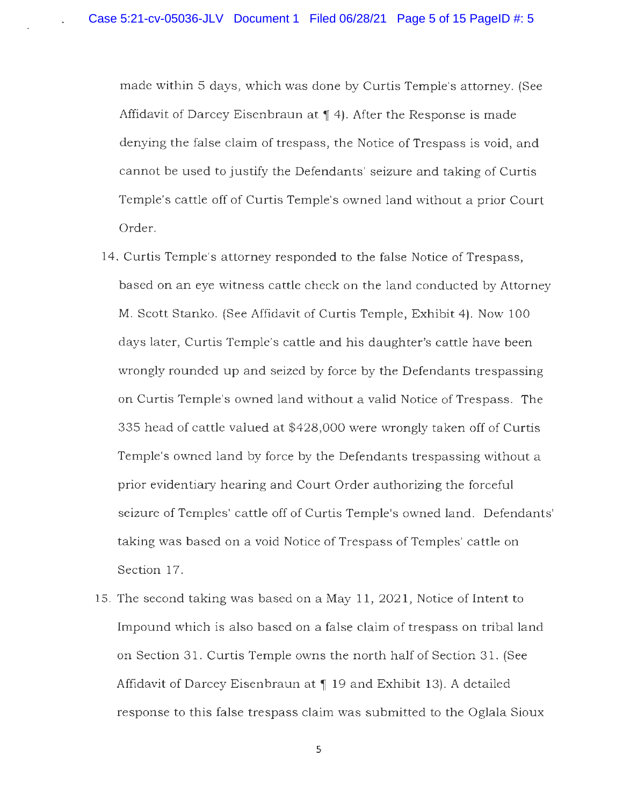made within 5 days, which was done by Curtis Temple's attorney. (See Affidavit of Darcey Eisenbraun at 14. After the Response is made denying the false claim of trespass, the Notice of Trespass is void, and cannot be used to justify the Defendants' seizure and taking of Curtis Temple's cattle off of Curtis Temple's owned land without a prior Court Order.

- 14. Curtis Temple's attorney responded to the false Notice of Trespass, based on an eye witness cattle check on the land conducted by Attorney M. Scott Stanko. (See Affidavit of Curtis Temple, Exhibit 4). Now 100 days later, Curtis Temple's cattle and his daughter's cattle have been wrongly rounded up and seized by force by the Defendants trespassing on Curtis Temple's owned land without a valid Notice of Trespass. The 335 head of cattle valued at \$428,000 were wrongly taken off of Curtis Temple's owned land by force by the Defendants trespassing without a prior evidentiary hearing and Court Order authorizing the forceful seizure of Temples' cattle off of Curtis Temple's owned land. Defendants' taking was based on a void Notice of Trespass of Temples' cattle on Section 17.
- 15. The second taking was based on a May 11, 2021, Notice of Intent to Impound which is also based on a false claim of trespass on tribal land on Section 31. Curtis Temple owns the north half of Section 31. (See Affidavit of Darcey Eisenbraun at 19 and Exhibit 13). A detailed response to this false trespass claim was submitted to the Oglala Sioux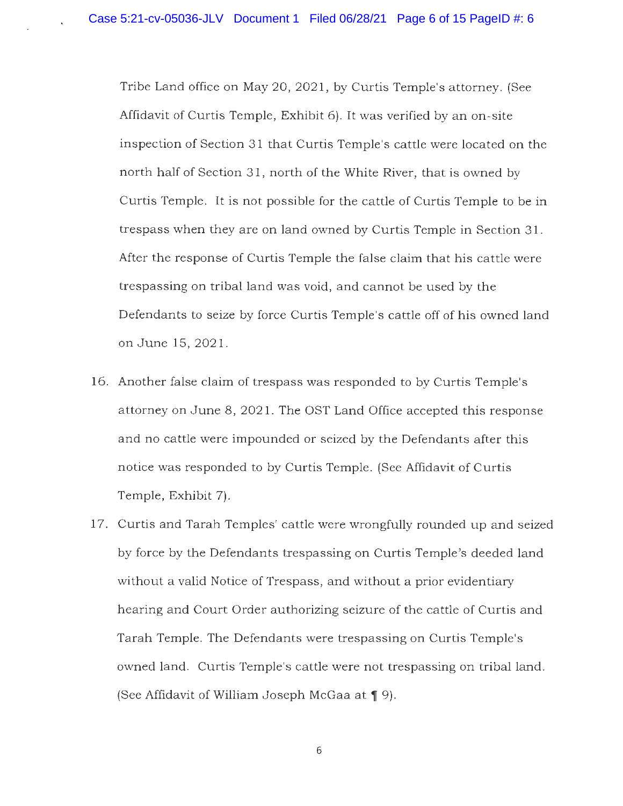Tribe Land office on May 20, 2021, by Curtis Temple's attorney. (See Affidavit of Curtis Temple, Exhibit 6). It was verified by an on-site inspection of Section 31 that Curtis Temple's cattle were located on the north half of Section 31, north of the White River, that is owned by Curtis Temple. It is not possible for the cattle of Curtis Temple to be in trespass when they are on land owned by Curtis Temple in Section 31 . After the response of Curtis Temple the false claim that his cattle were trespassing on tribal land was void, and cannot be used by the Defendants to seize by force Curtis Temple's cattle off of his owned land on June 15, 2021.

- 16. Another false claim of trespass was responded to by Curtis Temple's attorney on June 8, 2021. The OST Land Office accepted this response and no cattle were impounded or seized by the Defendants after this notice was responded to by Curtis Temple. (See Affidavit of Curtis Temple, Exhibit 7).
- 17. Curtis and Tarah Temples' cattle were wrongfully rounded up and seized by force by the Defendants trespassing on Curtis Temple's deeded land without a valid Notice of Trespass, and without a prior evidentiary hearing and Court Order authorizing seizure of the cattle of Curtis and Tarah Temple. The Defendants were trespassing on Curtis Temple's owned land. Curtis Temple's cattle were not trespassing on tribal land. (See Affidavit of William Joseph McGaa at  $\P$  9).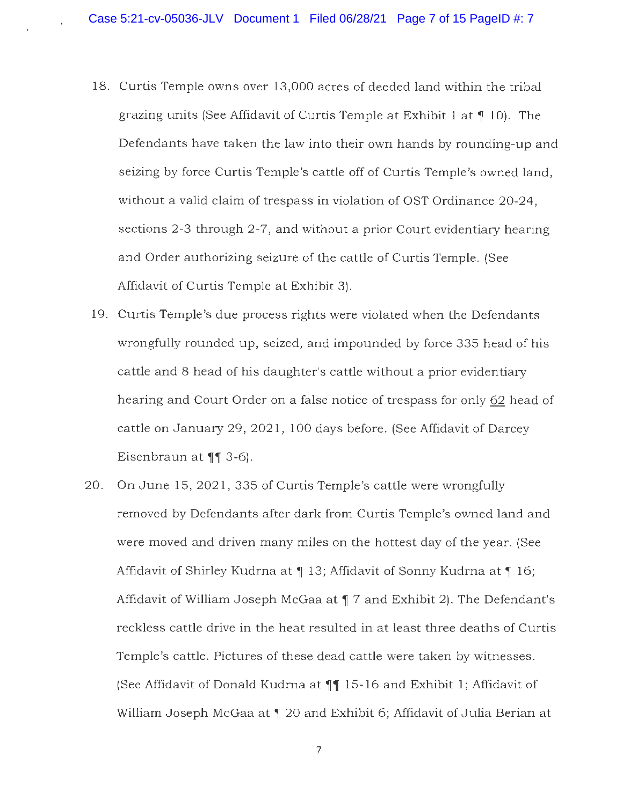- 18. Curtis Temple owns over 13,000 acres of deeded land within the tribal grazing units (See Affidavit of Curtis Temple at Exhibit 1 at ¶ 10). The Defendants have taken the law into their own hands by rounding-up and seizing by force Curtis Temple's cattle off of Curtis Temple's owned land, without a valid claim of trespass in violation of OST Ordinance 20-24, sections 2-3 through 2-7, and without a prior Court evidentiary hearing and Order authorizing seizure of the cattle of Curtis Temple. (See Affidavit of Curtis Temple at Exhibit 3).
- 19. Curtis Temple's due process rights were violated when the Defendants wrongfully rounded up, seized, and impounded by force 335 head of his cattle and 8 head of his daughter's cattle without a prior evidentiary hearing and Court Order on a false notice of trespass for only 62 head of cattle on January 29, 2021, 100 days before. (See Affidavit of Darcey Eisenbraun at **11** 3-6).
- 20. On June 15, 2021, 335 of Curtis Temple's cattle were wrongfully removed by Defendants after dark from Curtis Temple's owned land and were moved and driven many miles on the hottest day of the year. (See Affidavit of Shirley Kudrna at  $\parallel$  13; Affidavit of Sonny Kudrna at  $\parallel$  16; Affidavit of William Joseph McGaa at **1** 7 and Exhibit 2). The Defendant's reckless cattle drive in the heat resulted in at least three deaths of Curtis Temple's cattle. Pictures of these dead cattle were taken by witnesses. (See Affidavit of Donald Kudrna at  $\P\P$  15-16 and Exhibit 1; Affidavit of William Joseph McGaa at 120 and Exhibit 6; Affidavit of Julia Berian at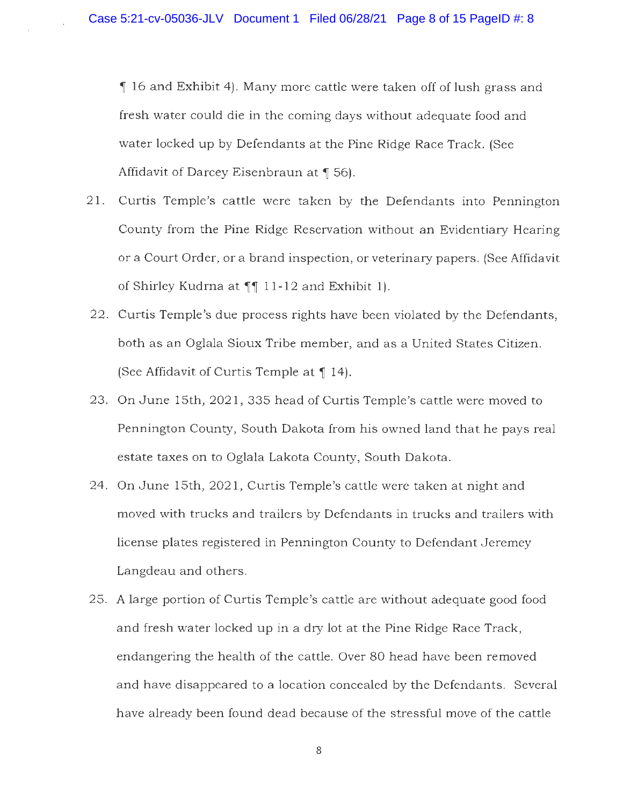**,i** 16 and Exhibit 4). Many more cattle were taken off of lush grass and fresh water could die in the coming days without adequate food and water locked up by Defendants at the Pine Ridge Race Track. (See Affidavit of Darcey Eisenbraun at ¶ 56).

- 21. Curtis Temple's cattle were taken by the Defendants into Pennington County from the Pine Ridge Reservation without an Evidentiary Hearing or a Court Order, or a brand inspection, or veterinary papers. (See Affidavit of Shirley Kudrna at **11** 11-12 and Exhibit 1).
- 22. Curtis Temple's due process rights have been violated by the Defendants, both as an Oglala Sioux Tribe member, and as a United States Citizen. (See Affidavit of Curtis Temple at 14).
- 23. On June 15th, 2021, 335 head of Curtis Temple's cattle were moved to Pennington County, South Dakota from his owned land that he pays real estate taxes on to Oglala Lakota County, South Dakota.
- 24. On June 15th, 2021, Curtis Temple's cattle were taken at night and moved with trucks and trailers by Defendants in trucks and trailers with license plates registered in Pennington County to Defendant Jeremey Langdeau and others.
- 25. A large portion of Curtis Temple's cattle are without adequate good food and fresh water locked up in a dry lot at the Pine Ridge Race Track, endangering the health of the cattle. Over 80 head have been removed and have disappeared to a location concealed by the Defendants. Several have already been found dead because of the stressful move of the cattle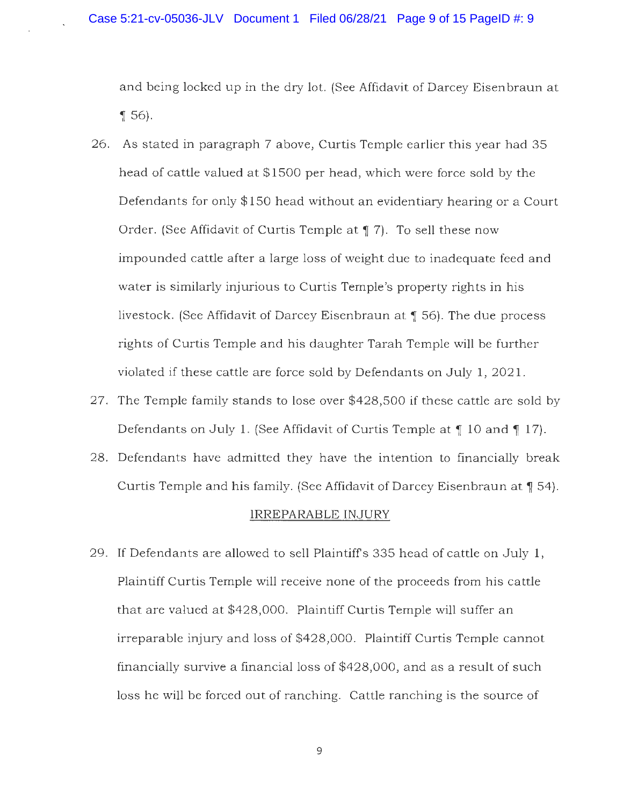and being locked up in the dry lot. {See Affidavit of Darcey Eisenbraun at  $\llbracket 56 \rrbracket$ **.** 

- 26. As stated in paragraph 7 above, Curtis Temple earlier this year had 35 head of cattle valued at \$1500 per head, which were force sold by the Defendants for only \$150 head without an evidentiary hearing or a Court Order. (See Affidavit of Curtis Temple at ¶ 7). To sell these now impounded cattle after a large loss of weight due to inadequate feed and water is similarly injurious to Curtis Temple's property rights in his livestock. (See Affidavit of Darcey Eisenbraun at ¶ 56). The due process rights of Curtis Temple and his daughter Tarah Temple will be further violated if these cattle are force sold by Defendants on July 1, 2021.
- 27. The Temple family stands to lose over \$428,500 if these cattle are sold by Defendants on July 1. (See Affidavit of Curtis Temple at  $\parallel$  10 and  $\parallel$  17).
- 28. Defendants have admitted they have the intention to financially break Curtis Temple and his family. (See Affidavit of Darcey Eisenbraun at  $\P$  54).

#### IRREPARABLE INJURY

29. If Defendants are allowed to sell Plaintiffs 335 head of cattle on July 1, Plaintiff Curtis Temple will receive none of the proceeds from his cattle that are valued at \$428,000. Plaintiff Curtis Temple will suffer an irreparable injury and loss of \$428,000. Plaintiff Curtis Temple cannot financially survive a financial loss of \$428,000, and as a result of such loss he will be forced out of ranching. Cattle ranching is the source of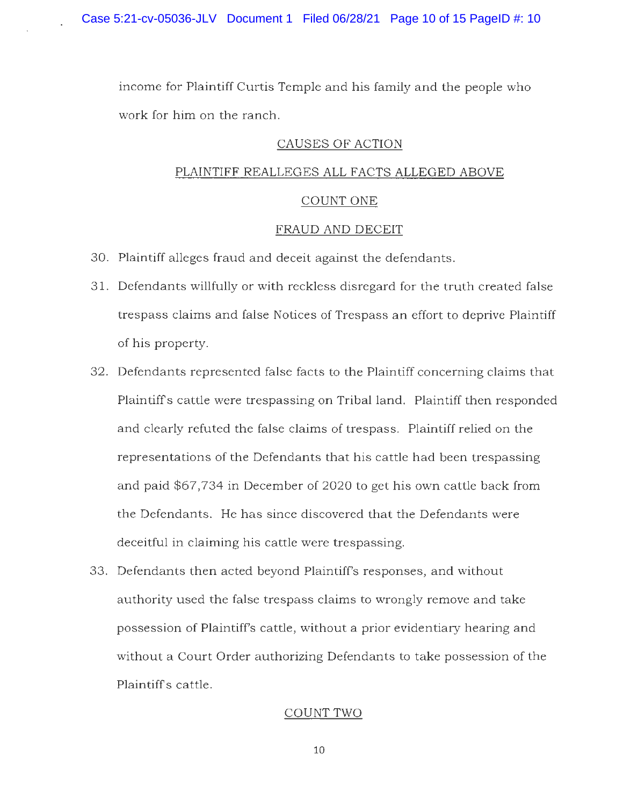income for Plaintiff Curtis Temple and his family and the people who work for him on the ranch.

## CAUSES OF ACTION

# PLAINTIFF REALLEGES ALL FACTS ALLEGED ABOVE

# COUNT ONE

## FRAUD AND DECEIT

- 30. Plaintiff alleges fraud and deceit against the defendants.
- 31. Defendants willfully or with reckless disregard for the truth created false trespass claims and false Notices of Trespass an effort to deprive Plaintiff of his property.
- 32. Defendants represented false facts to the Plaintiff concerning claims that Plaintiffs cattle were trespassing on Tribal land. Plaintiff then responded and clearly refuted the false claims of trespass. Plaintiff relied on the representations of the Defendants that his cattle had been trespassing and paid \$67,734 in December of 2020 to get his own cattle back from the Defendants. He has since discovered that the Defendants were deceitful in claiming his cattle were trespassing.
- 33. Defendants then acted beyond Plaintiff's responses, and without authority used the false trespass claims to wrongly remove and take possession of Plaintiff's cattle, without a prior evidentiary hearing and without a Court Order authorizing Defendants to take possession of the Plaintiffs cattle.

## COUNT TWO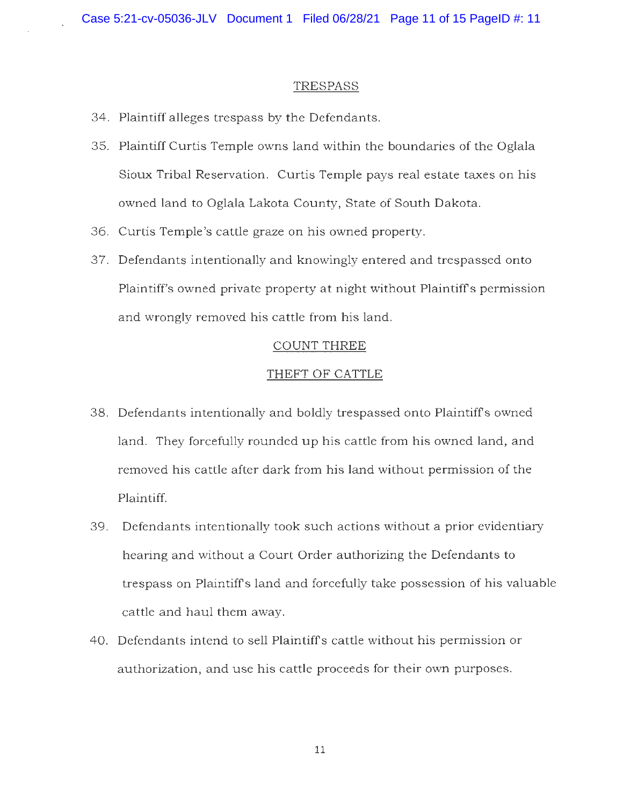#### TRESPASS

- 34. Plaintiff alleges trespass by the Defendants.
- 35. Plaintiff Curtis Temple owns land within the boundaries of the Oglala Sioux Tribal Reservation. Curtis Temple pays real estate taxes on his owned land to Oglala Lakota County, State of South Dakota.
- 36. Curtis Temple's cattle graze on his owned property.
- 37. Defendants intentionally and knowingly entered and trespassed onto Plaintiff's owned private property at night without Plaintiffs permission and wrongly removed his cattle from his land.

#### COUNT THREE

#### THEFT OF CATTLE

- 38. Defendants intentionally and boldly trespassed onto Plaintiffs owned land. They forcefully rounded up his cattle from his owned land, and removed his cattle after dark from his land without permission of the Plaintiff.
- 39. Defendants intentionally took such actions without a prior evidentiary hearing and without a Court Order authorizing the Defendants to trespass on Plaintiffs land and forcefully take possession of his valuable cattle and haul them away.
- 40. Defendants intend to sell Plaintiffs cattle without his permission or authorization, and use his cattle proceeds for their own purposes.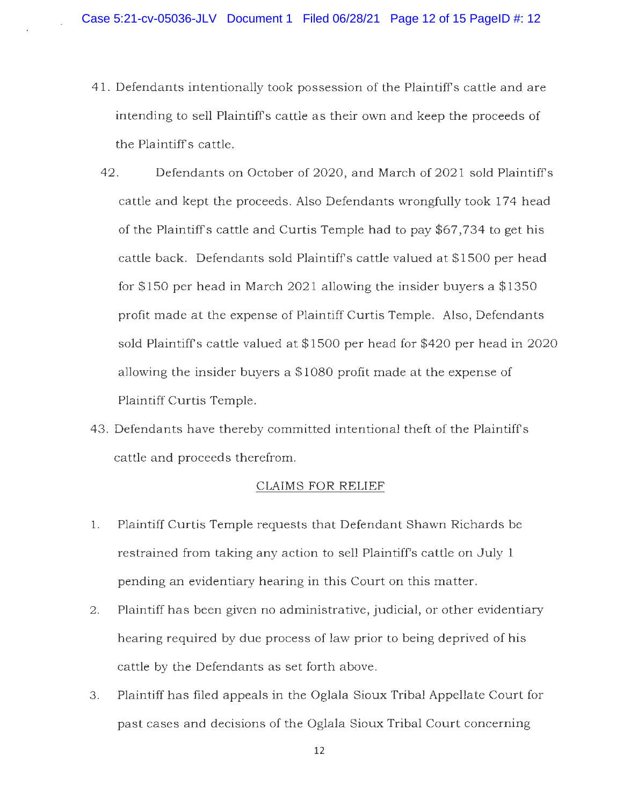- 41. Defendants intentionally took possession of the Plaintiffs cattle and are intending to sell Plaintiffs cattle as their own and keep the proceeds of the Plaintiffs cattle.
- 42. Defendants on October of 2020, and March of 2021 sold Plaintiff's cattle and kept the proceeds. Also Defendants wrongfully took 174 head of the Plaintiffs cattle and Curtis Temple had to pay \$67,734 to get his cattle back. Defendants sold Plaintiffs cattle valued at \$1500 per head for \$150 per head in March 2021 allowing the insider buyers a \$1350 profit made at the expense of Plaintiff Curtis Temple. Also, Defendants sold Plaintiffs cattle valued at \$1500 per head for \$420 per head in 2020 allowing the insider buyers a \$1080 profit made at the expense of Plaintiff Curtis Temple.
- 43. Defendants have thereby committed intentional theft of the Plaintiffs cattle and proceeds therefrom.

## CLAIMS FOR RELIEF

- 1. Plaintiff Curtis Temple requests that Defendant Shawn Richards be restrained from taking any action to sell Plaintiff's cattle on July 1 pending an evidentiary hearing in this Court on this matter.
- 2. Plaintiff has been given no administrative, judicial, or other evidentiary hearing required by due process of law prior to being deprived of his cattle by the Defendants as set forth above.
- 3. Plaintiff has filed appeals in the Oglala Sioux Tribal Appellate Court for past cases and decisions of the Oglala Sioux Tribal Court concerning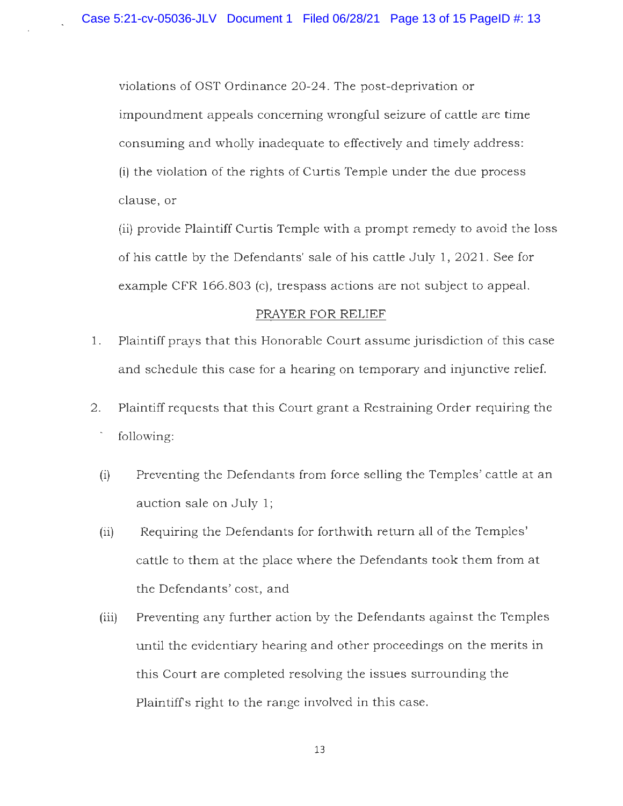violations of OST Ordinance 20-24. The post-deprivation or impoundment appeals concerning wrongful seizure of cattle are time consuming and wholly inadequate to effectively and timely address: (i) the violation of the rights of Curtis Temple under the due process clause, or

(ii) provide Plaintiff Curtis Temple with a prompt remedy to avoid the loss of his cattle by the Defendants' sale of his cattle July 1, 2021. See for example CFR 166.803 (c), trespass actions are not subject to appeal.

## PRAYER FOR RELIEF

- 1. Plaintiff prays that this Honorable Court assume jurisdiction of this case and schedule this case for a hearing on temporary and injunctive relief.
- 2. Plaintiff requests that this Court grant a Restraining Order requiring the following:
	- (i) Preventing the Defendants from force selling the Temples' cattle at an auction sale on July 1;
	- (ii) Requiring the Defendants for forthwith return all of the Temples' cattle to them at the place where the Defendants took them from at the Defendants' cost, and
	- (iii) Preventing any further action by the Defendants against the Temples until the evidentiary hearing and other proceedings on the merits in this Court are completed resolving the issues surrounding the Plaintiffs right to the range involved in this case.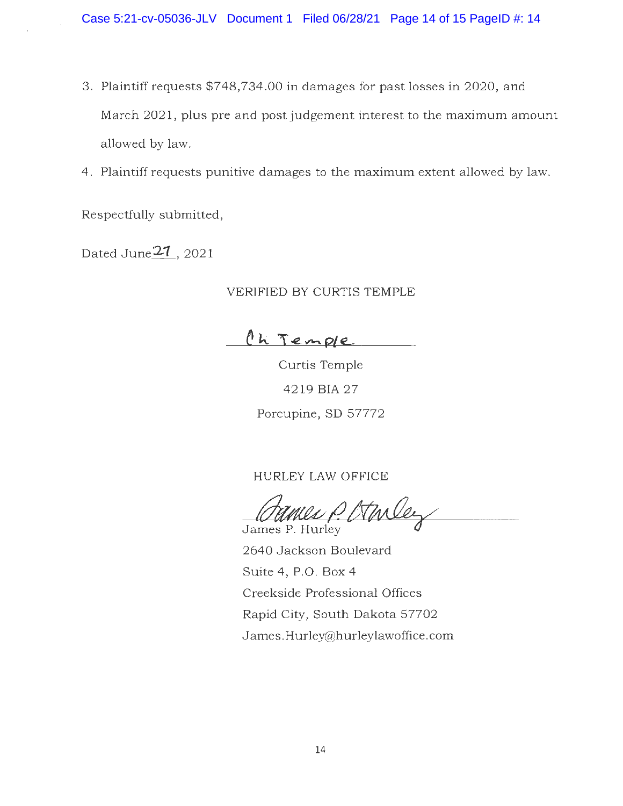- 3. Plaintiff requests \$748,734.00 in damages for past losses in 2020, and March 2021, plus pre and post judgement interest to the maximum amount allowed by law.
- 4. Plaintiff requests punitive damages to the maximum extent allowed by law.

Respectfully submitted,

Dated June<sup>21</sup>, 2021

## VERIFIED BY CURTIS TEMPLE

<u>Ch Temple</u>

Curtis Temple 4219BIA27 Porcupine, SD 57772

HURLEY LAW OFFICE

HURLEY LAW OFFICE<br>Cames P. Hurley

2640 Jackson Boulevard Suite 4, P.O. Box 4 Creekside Professional Offices Rapid City, South Dakota 57702 James.Hurley@hurleylawoffice.com